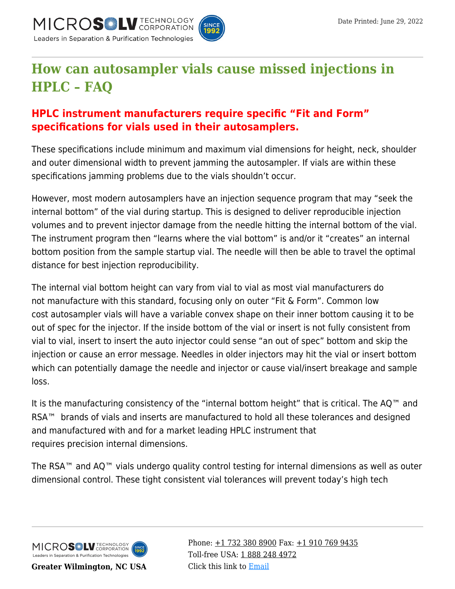



## **[How can autosampler vials cause missed injections in](https://kb.mtc-usa.com/article/aa-03889/46/) [HPLC – FAQ](https://kb.mtc-usa.com/article/aa-03889/46/)**

## **HPLC instrument manufacturers require specific "Fit and Form" specifications for vials used in their autosamplers.**

These specifications include minimum and maximum vial dimensions for height, neck, shoulder and outer dimensional width to prevent jamming the autosampler. If vials are within these specifications jamming problems due to the vials shouldn't occur.

However, most modern autosamplers have an injection sequence program that may "seek the internal bottom" of the vial during startup. This is designed to deliver reproducible injection volumes and to prevent injector damage from the needle hitting the internal bottom of the vial. The instrument program then "learns where the vial bottom" is and/or it "creates" an internal bottom position from the sample startup vial. The needle will then be able to travel the optimal distance for best injection reproducibility.

The internal vial bottom height can vary from vial to vial as most vial manufacturers do not manufacture with this standard, focusing only on outer "Fit & Form". Common low cost autosampler vials will have a variable convex shape on their inner bottom causing it to be out of spec for the injector. If the inside bottom of the vial or insert is not fully consistent from vial to vial, insert to insert the auto injector could sense "an out of spec" bottom and skip the injection or cause an error message. Needles in older injectors may hit the vial or insert bottom which can potentially damage the needle and injector or cause vial/insert breakage and sample loss.

It is the manufacturing consistency of the "internal bottom height" that is critical. The AQ™ and RSA<sup>™</sup> brands of vials and inserts are manufactured to hold all these tolerances and designed and manufactured with and for a market leading HPLC instrument that requires precision internal dimensions.

The RSA™ and AQ™ vials undergo quality control testing for internal dimensions as well as outer dimensional control. These tight consistent vial tolerances will prevent today's high tech



**Greater Wilmington, NC USA**

Phone:  $\pm$ 1 732 380 8900 Fax:  $\pm$ 1 910 769 9435 Toll-free USA: [1 888 248 4972](#page--1-0) Click this link to [Email](https://www.mtc-usa.com/contact)